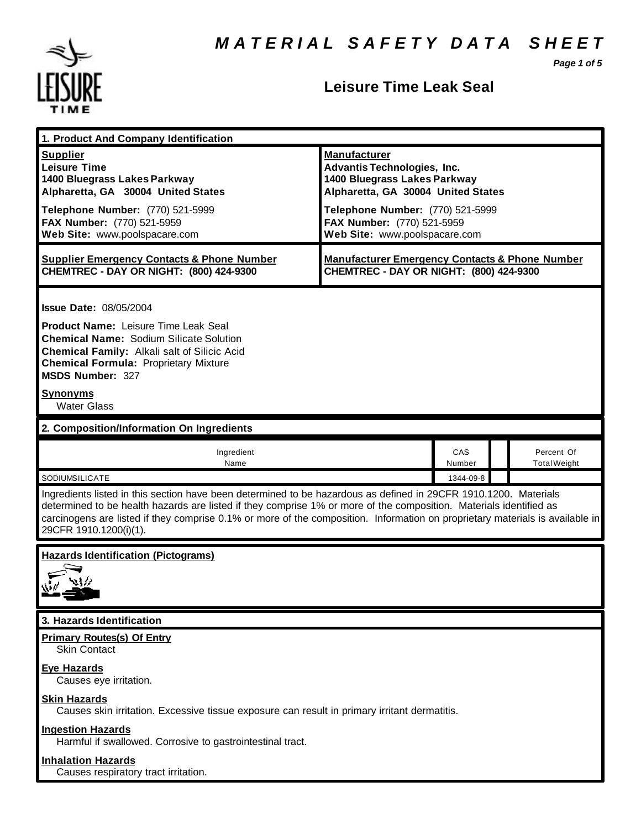*Page 1 of 5*



## **Leisure Time Leak Seal**

| 1. Product And Company Identification                                                                                                                                                                                                                                                                                                                                                             |                                                                                                                                                                                                   |               |  |                                   |
|---------------------------------------------------------------------------------------------------------------------------------------------------------------------------------------------------------------------------------------------------------------------------------------------------------------------------------------------------------------------------------------------------|---------------------------------------------------------------------------------------------------------------------------------------------------------------------------------------------------|---------------|--|-----------------------------------|
| <b>Supplier</b><br><b>Leisure Time</b><br>1400 Bluegrass Lakes Parkway<br>Alpharetta, GA 30004 United States<br>Telephone Number: (770) 521-5999<br>FAX Number: (770) 521-5959                                                                                                                                                                                                                    | <b>Manufacturer</b><br><b>Advantis Technologies, Inc.</b><br>1400 Bluegrass Lakes Parkway<br>Alpharetta, GA 30004 United States<br>Telephone Number: (770) 521-5999<br>FAX Number: (770) 521-5959 |               |  |                                   |
| Web Site: www.poolspacare.com                                                                                                                                                                                                                                                                                                                                                                     | Web Site: www.poolspacare.com                                                                                                                                                                     |               |  |                                   |
| <b>Supplier Emergency Contacts &amp; Phone Number</b><br>CHEMTREC - DAY OR NIGHT: (800) 424-9300                                                                                                                                                                                                                                                                                                  | <b>Manufacturer Emergency Contacts &amp; Phone Number</b><br>CHEMTREC - DAY OR NIGHT: (800) 424-9300                                                                                              |               |  |                                   |
| <b>Issue Date: 08/05/2004</b><br><b>Product Name: Leisure Time Leak Seal</b><br><b>Chemical Name: Sodium Silicate Solution</b><br><b>Chemical Family: Alkali salt of Silicic Acid</b><br><b>Chemical Formula: Proprietary Mixture</b><br><b>MSDS Number: 327</b><br><u>Synonyms</u><br><b>Water Glass</b>                                                                                         |                                                                                                                                                                                                   |               |  |                                   |
| 2. Composition/Information On Ingredients                                                                                                                                                                                                                                                                                                                                                         |                                                                                                                                                                                                   |               |  |                                   |
| Ingredient<br>Name                                                                                                                                                                                                                                                                                                                                                                                |                                                                                                                                                                                                   | CAS<br>Number |  | Percent Of<br><b>Total Weight</b> |
| SODIUMSILICATE                                                                                                                                                                                                                                                                                                                                                                                    |                                                                                                                                                                                                   | 1344-09-8     |  |                                   |
| Ingredients listed in this section have been determined to be hazardous as defined in 29CFR 1910.1200. Materials<br>determined to be health hazards are listed if they comprise 1% or more of the composition. Materials identified as<br>carcinogens are listed if they comprise 0.1% or more of the composition. Information on proprietary materials is available in<br>29CFR 1910.1200(i)(1). |                                                                                                                                                                                                   |               |  |                                   |
| <b>Hazards Identification (Pictograms)</b>                                                                                                                                                                                                                                                                                                                                                        |                                                                                                                                                                                                   |               |  |                                   |
| 3. Hazards Identification                                                                                                                                                                                                                                                                                                                                                                         |                                                                                                                                                                                                   |               |  |                                   |
| <b>Primary Routes(s) Of Entry</b><br><b>Skin Contact</b>                                                                                                                                                                                                                                                                                                                                          |                                                                                                                                                                                                   |               |  |                                   |
| <b>Eye Hazards</b><br>Causes eye irritation.                                                                                                                                                                                                                                                                                                                                                      |                                                                                                                                                                                                   |               |  |                                   |
| <b>Skin Hazards</b><br>Causes skin irritation. Excessive tissue exposure can result in primary irritant dermatitis.                                                                                                                                                                                                                                                                               |                                                                                                                                                                                                   |               |  |                                   |
| <b>Ingestion Hazards</b><br>Harmful if swallowed. Corrosive to gastrointestinal tract.                                                                                                                                                                                                                                                                                                            |                                                                                                                                                                                                   |               |  |                                   |
| <b>Inhalation Hazards</b><br>Causes respiratory tract irritation.                                                                                                                                                                                                                                                                                                                                 |                                                                                                                                                                                                   |               |  |                                   |
|                                                                                                                                                                                                                                                                                                                                                                                                   |                                                                                                                                                                                                   |               |  |                                   |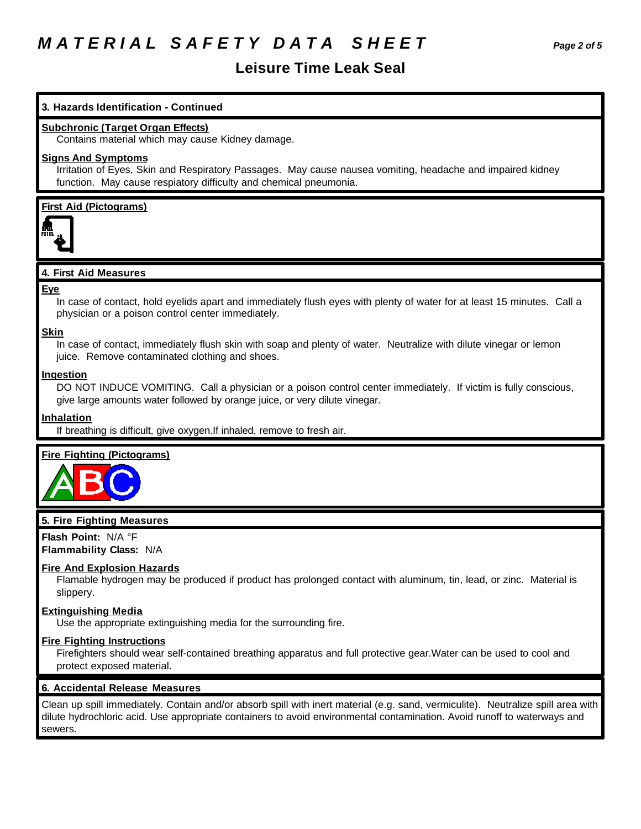# *M A T E R I A L S A F E T Y D A T A S H E E T Page 2 of 5*

### **Leisure Time Leak Seal**

#### **3. Hazards Identification - Continued**

#### **Subchronic (Target Organ Effects)**

Contains material which may cause Kidney damage.

#### **Signs And Symptoms**

Irritation of Eyes, Skin and Respiratory Passages. May cause nausea vomiting, headache and impaired kidney function. May cause respiatory difficulty and chemical pneumonia.

**First Aid (Pictograms)**



### **4. First Aid Measures**

#### **Eye**

In case of contact, hold eyelids apart and immediately flush eyes with plenty of water for at least 15 minutes. Call a physician or a poison control center immediately.

#### **Skin**

In case of contact, immediately flush skin with soap and plenty of water. Neutralize with dilute vinegar or lemon juice. Remove contaminated clothing and shoes.

#### **Ingestion**

DO NOT INDUCE VOMITING. Call a physician or a poison control center immediately. If victim is fully conscious, give large amounts water followed by orange juice, or very dilute vinegar.

#### **Inhalation**

If breathing is difficult, give oxygen.If inhaled, remove to fresh air.

### **Fire Fighting (Pictograms)**



#### **5. Fire Fighting Measures**

**Flash Point:** N/A °F **Flammability Class:** N/A

#### **Fire And Explosion Hazards**

Flamable hydrogen may be produced if product has prolonged contact with aluminum, tin, lead, or zinc. Material is slippery.

#### **Extinguishing Media**

Use the appropriate extinguishing media for the surrounding fire.

#### **Fire Fighting Instructions**

Firefighters should wear self-contained breathing apparatus and full protective gear.Water can be used to cool and protect exposed material.

#### **6. Accidental Release Measures**

Clean up spill immediately. Contain and/or absorb spill with inert material (e.g. sand, vermiculite). Neutralize spill area with dilute hydrochloric acid. Use appropriate containers to avoid environmental contamination. Avoid runoff to waterways and sewers.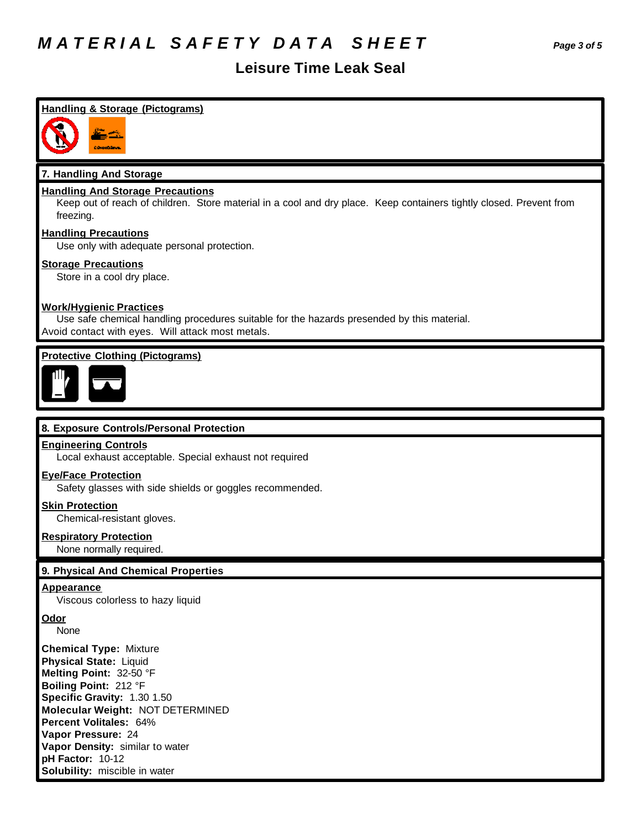# *M A T E R I A L S A F E T Y D A T A S H E E T Page 3 of 5*

### **Leisure Time Leak Seal**

## **Handling & Storage (Pictograms) 7. Handling And Storage Handling And Storage Precautions** Keep out of reach of children. Store material in a cool and dry place. Keep containers tightly closed. Prevent from freezing. **Handling Precautions** Use only with adequate personal protection. **Storage Precautions** Store in a cool dry place. **Work/Hygienic Practices** Use safe chemical handling procedures suitable for the hazards presended by this material. Avoid contact with eyes. Will attack most metals. **Protective Clothing (Pictograms) 8. Exposure Controls/Personal Protection Engineering Controls** Local exhaust acceptable. Special exhaust not required **Eye/Face Protection** Safety glasses with side shields or goggles recommended. **Skin Protection** Chemical-resistant gloves. **Respiratory Protection** None normally required. **9. Physical And Chemical Properties Appearance** Viscous colorless to hazy liquid **Odor** None **Chemical Type:** Mixture **Physical State:** Liquid **Melting Point:** 32-50 °F **Boiling Point:** 212 °F **Specific Gravity:** 1.30 1.50 **Molecular Weight:** NOT DETERMINED **Percent Volitales:** 64% **Vapor Pressure:** 24 **Vapor Density:** similar to water **pH Factor:** 10-12 **Solubility:** miscible in water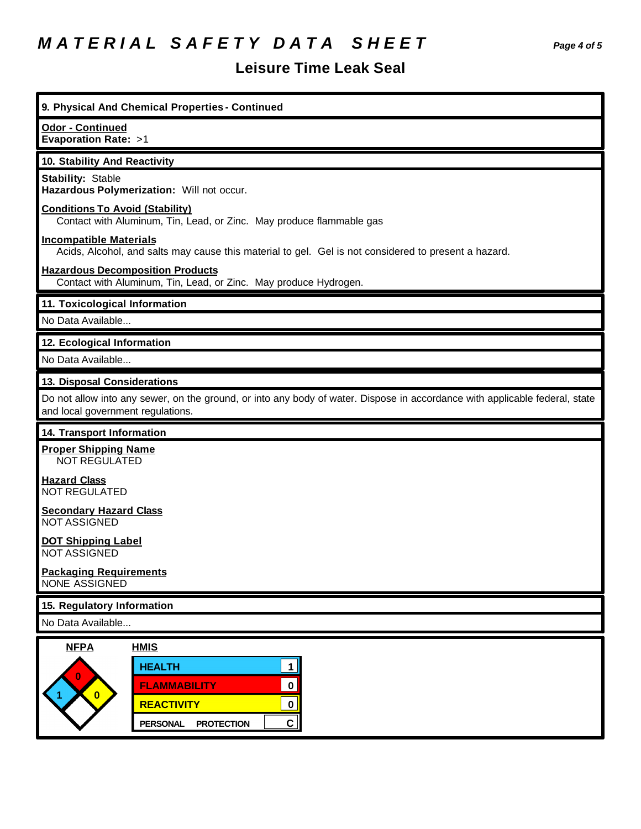# *M A T E R I A L S A F E T Y D A T A S H E E T Page 4 of 5*

## **Leisure Time Leak Seal**

| 9. Physical And Chemical Properties - Continued                                                                                                                  |  |  |  |  |
|------------------------------------------------------------------------------------------------------------------------------------------------------------------|--|--|--|--|
| Odor - Continued<br><b>Evaporation Rate: &gt;1</b>                                                                                                               |  |  |  |  |
| 10. Stability And Reactivity                                                                                                                                     |  |  |  |  |
| <b>Stability: Stable</b><br>Hazardous Polymerization: Will not occur.                                                                                            |  |  |  |  |
| <b>Conditions To Avoid (Stability)</b><br>Contact with Aluminum, Tin, Lead, or Zinc. May produce flammable gas                                                   |  |  |  |  |
| <b>Incompatible Materials</b><br>Acids, Alcohol, and salts may cause this material to gel. Gel is not considered to present a hazard.                            |  |  |  |  |
| <b>Hazardous Decomposition Products</b><br>Contact with Aluminum, Tin, Lead, or Zinc. May produce Hydrogen.                                                      |  |  |  |  |
| 11. Toxicological Information                                                                                                                                    |  |  |  |  |
| No Data Available                                                                                                                                                |  |  |  |  |
| 12. Ecological Information                                                                                                                                       |  |  |  |  |
| No Data Available                                                                                                                                                |  |  |  |  |
| 13. Disposal Considerations                                                                                                                                      |  |  |  |  |
| Do not allow into any sewer, on the ground, or into any body of water. Dispose in accordance with applicable federal, state<br>and local government regulations. |  |  |  |  |
| 14. Transport Information                                                                                                                                        |  |  |  |  |
| <b>Proper Shipping Name</b><br>NOT REGULATED                                                                                                                     |  |  |  |  |
| <b>Hazard Class</b><br><b>NOT REGULATED</b>                                                                                                                      |  |  |  |  |
| <b>Secondary Hazard Class</b><br><b>NOT ASSIGNED</b>                                                                                                             |  |  |  |  |
| <b>DOT Shipping Label</b><br><b>NOT ASSIGNED</b>                                                                                                                 |  |  |  |  |
| <b>Packaging Requirements</b><br>NONE ASSIGNED                                                                                                                   |  |  |  |  |
| 15. Regulatory Information                                                                                                                                       |  |  |  |  |
| No Data Available                                                                                                                                                |  |  |  |  |
| <b>NFPA</b><br><b>HMIS</b>                                                                                                                                       |  |  |  |  |
| <b>HEALTH</b><br>1                                                                                                                                               |  |  |  |  |
| $\bf{0}$<br><b>FLAMMABILITY</b><br>$\mathbf 0$                                                                                                                   |  |  |  |  |
| $\overline{\mathbf{0}}$<br><b>REACTIVITY</b><br>$\mathbf 0$                                                                                                      |  |  |  |  |
| $\mathsf{C}\mid$<br><b>PERSONAL</b><br><b>PROTECTION</b>                                                                                                         |  |  |  |  |